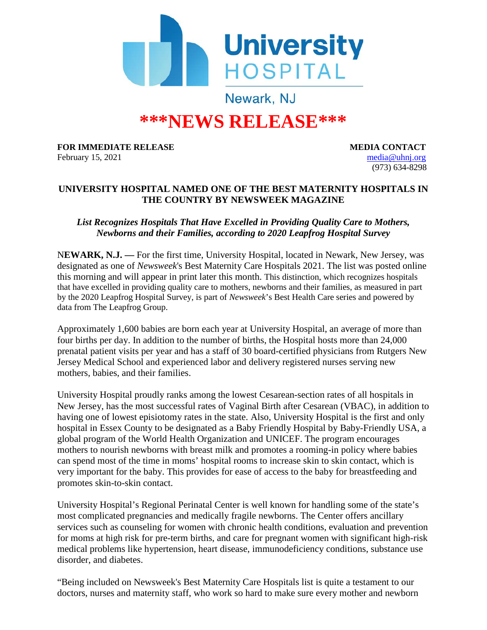

# **\*\*\*NEWS RELEASE\*\*\***

**FOR IMMEDIATE RELEASE MEDIA CONTACT** February 15, 2021 [media@uhnj.org](mailto:media@uhnj.org)

(973) 634-8298

## **UNIVERSITY HOSPITAL NAMED ONE OF THE BEST MATERNITY HOSPITALS IN THE COUNTRY BY NEWSWEEK MAGAZINE**

## *List Recognizes Hospitals That Have Excelled in Providing Quality Care to Mothers, Newborns and their Families, according to 2020 Leapfrog Hospital Survey*

N**EWARK, N.J. —** For the first time, University Hospital, located in Newark, New Jersey, was designated as one of *Newsweek*'s Best Maternity Care Hospitals 2021. The list was posted online this morning and will appear in print later this month. This distinction, which recognizes hospitals that have excelled in providing quality care to mothers, newborns and their families, as measured in part by the 2020 Leapfrog Hospital Survey, is part of *Newsweek*'s Best Health Care series and powered by data from The Leapfrog Group.

Approximately 1,600 babies are born each year at University Hospital, an average of more than four births per day. In addition to the number of births, the Hospital hosts more than 24,000 prenatal patient visits per year and has a staff of 30 board-certified physicians from Rutgers New Jersey Medical School and experienced labor and delivery registered nurses serving new mothers, babies, and their families.

University Hospital proudly ranks among the lowest Cesarean-section rates of all hospitals in New Jersey, has the most successful rates of Vaginal Birth after Cesarean (VBAC), in addition to having one of lowest episiotomy rates in the state. Also, University Hospital is the first and only hospital in Essex County to be designated as a Baby Friendly Hospital by Baby-Friendly USA, a global program of the World Health Organization and UNICEF. The program encourages mothers to nourish newborns with breast milk and promotes a rooming-in policy where babies can spend most of the time in moms' hospital rooms to increase skin to skin contact, which is very important for the baby. This provides for ease of access to the baby for breastfeeding and promotes skin-to-skin contact.

University Hospital's Regional Perinatal Center is well known for handling some of the state's most complicated pregnancies and medically fragile newborns. The Center offers ancillary services such as counseling for women with chronic health conditions, evaluation and prevention for moms at high risk for pre-term births, and care for pregnant women with significant high-risk medical problems like hypertension, heart disease, immunodeficiency conditions, substance use disorder, and diabetes.

"Being included on Newsweek's Best Maternity Care Hospitals list is quite a testament to our doctors, nurses and maternity staff, who work so hard to make sure every mother and newborn